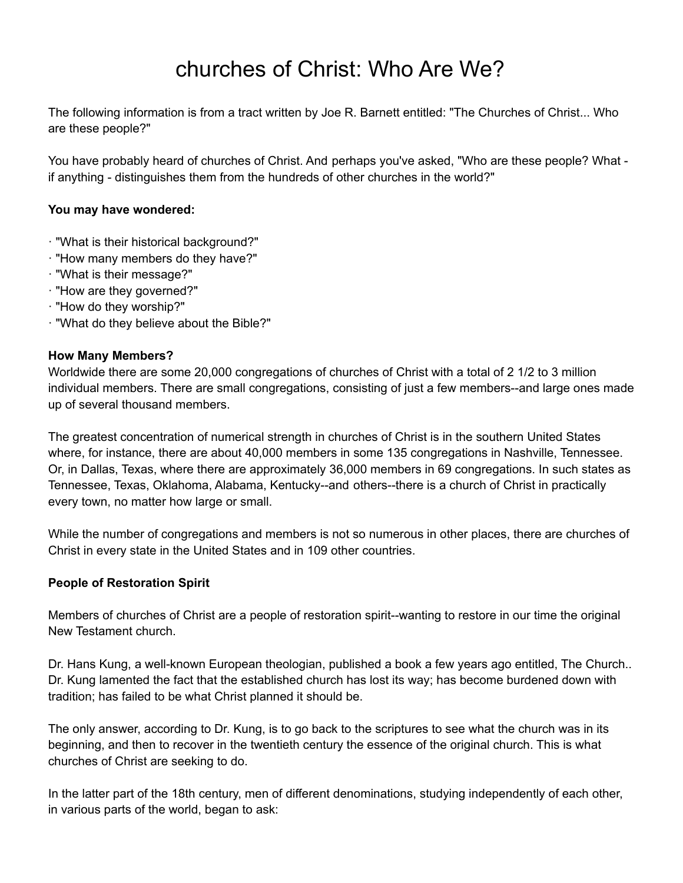# churches of Christ: Who Are We?

The following information is from a tract written by Joe R. Barnett entitled: "The Churches of Christ... Who are these people?"

You have probably heard of churches of Christ. And perhaps you've asked, "Who are these people? What if anything - distinguishes them from the hundreds of other churches in the world?"

#### **You may have wondered:**

- · "What is their historical background?"
- · "How many members do they have?"
- · "What is their message?"
- · "How are they governed?"
- · "How do they worship?"
- · "What do they believe about the Bible?"

#### **How Many Members?**

Worldwide there are some 20,000 congregations of churches of Christ with a total of 2 1/2 to 3 million individual members. There are small congregations, consisting of just a few members--and large ones made up of several thousand members.

The greatest concentration of numerical strength in churches of Christ is in the southern United States where, for instance, there are about 40,000 members in some 135 congregations in Nashville, Tennessee. Or, in Dallas, Texas, where there are approximately 36,000 members in 69 congregations. In such states as Tennessee, Texas, Oklahoma, Alabama, Kentucky--and others--there is a church of Christ in practically every town, no matter how large or small.

While the number of congregations and members is not so numerous in other places, there are churches of Christ in every state in the United States and in 109 other countries.

#### **People of Restoration Spirit**

Members of churches of Christ are a people of restoration spirit--wanting to restore in our time the original New Testament church.

Dr. Hans Kung, a well-known European theologian, published a book a few years ago entitled, The Church.. Dr. Kung lamented the fact that the established church has lost its way; has become burdened down with tradition; has failed to be what Christ planned it should be.

The only answer, according to Dr. Kung, is to go back to the scriptures to see what the church was in its beginning, and then to recover in the twentieth century the essence of the original church. This is what churches of Christ are seeking to do.

In the latter part of the 18th century, men of different denominations, studying independently of each other, in various parts of the world, began to ask: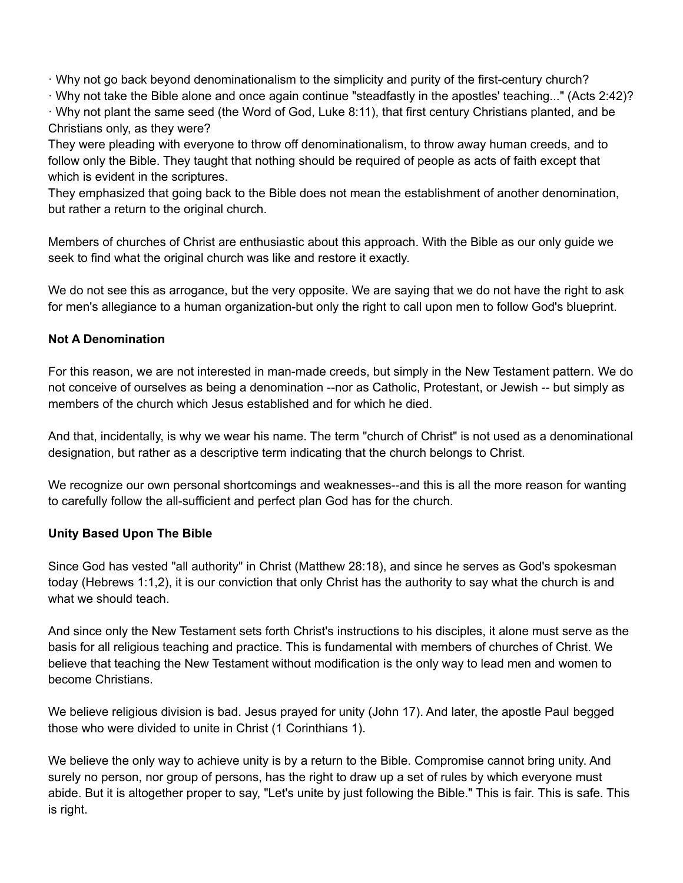· Why not go back beyond denominationalism to the simplicity and purity of the first-century church?

· Why not take the Bible alone and once again continue "steadfastly in the apostles' teaching..." (Acts 2:42)? · Why not plant the same seed (the Word of God, Luke 8:11), that first century Christians planted, and be Christians only, as they were?

They were pleading with everyone to throw off denominationalism, to throw away human creeds, and to follow only the Bible. They taught that nothing should be required of people as acts of faith except that which is evident in the scriptures.

They emphasized that going back to the Bible does not mean the establishment of another denomination, but rather a return to the original church.

Members of churches of Christ are enthusiastic about this approach. With the Bible as our only guide we seek to find what the original church was like and restore it exactly.

We do not see this as arrogance, but the very opposite. We are saying that we do not have the right to ask for men's allegiance to a human organization-but only the right to call upon men to follow God's blueprint.

# **Not A Denomination**

For this reason, we are not interested in man-made creeds, but simply in the New Testament pattern. We do not conceive of ourselves as being a denomination --nor as Catholic, Protestant, or Jewish -- but simply as members of the church which Jesus established and for which he died.

And that, incidentally, is why we wear his name. The term "church of Christ" is not used as a denominational designation, but rather as a descriptive term indicating that the church belongs to Christ.

We recognize our own personal shortcomings and weaknesses--and this is all the more reason for wanting to carefully follow the all-sufficient and perfect plan God has for the church.

## **Unity Based Upon The Bible**

Since God has vested "all authority" in Christ (Matthew 28:18), and since he serves as God's spokesman today (Hebrews 1:1,2), it is our conviction that only Christ has the authority to say what the church is and what we should teach.

And since only the New Testament sets forth Christ's instructions to his disciples, it alone must serve as the basis for all religious teaching and practice. This is fundamental with members of churches of Christ. We believe that teaching the New Testament without modification is the only way to lead men and women to become Christians.

We believe religious division is bad. Jesus prayed for unity (John 17). And later, the apostle Paul begged those who were divided to unite in Christ (1 Corinthians 1).

We believe the only way to achieve unity is by a return to the Bible. Compromise cannot bring unity. And surely no person, nor group of persons, has the right to draw up a set of rules by which everyone must abide. But it is altogether proper to say, "Let's unite by just following the Bible." This is fair. This is safe. This is right.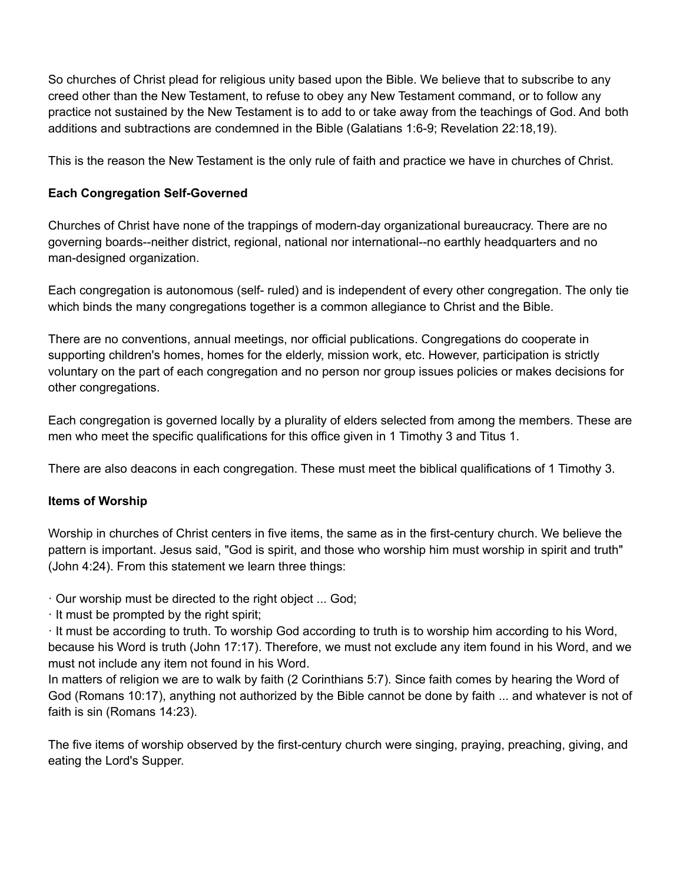So churches of Christ plead for religious unity based upon the Bible. We believe that to subscribe to any creed other than the New Testament, to refuse to obey any New Testament command, or to follow any practice not sustained by the New Testament is to add to or take away from the teachings of God. And both additions and subtractions are condemned in the Bible (Galatians 1:6-9; Revelation 22:18,19).

This is the reason the New Testament is the only rule of faith and practice we have in churches of Christ.

# **Each Congregation Self-Governed**

Churches of Christ have none of the trappings of modern-day organizational bureaucracy. There are no governing boards--neither district, regional, national nor international--no earthly headquarters and no man-designed organization.

Each congregation is autonomous (self- ruled) and is independent of every other congregation. The only tie which binds the many congregations together is a common allegiance to Christ and the Bible.

There are no conventions, annual meetings, nor official publications. Congregations do cooperate in supporting children's homes, homes for the elderly, mission work, etc. However, participation is strictly voluntary on the part of each congregation and no person nor group issues policies or makes decisions for other congregations.

Each congregation is governed locally by a plurality of elders selected from among the members. These are men who meet the specific qualifications for this office given in 1 Timothy 3 and Titus 1.

There are also deacons in each congregation. These must meet the biblical qualifications of 1 Timothy 3.

# **Items of Worship**

Worship in churches of Christ centers in five items, the same as in the first-century church. We believe the pattern is important. Jesus said, "God is spirit, and those who worship him must worship in spirit and truth" (John 4:24). From this statement we learn three things:

· Our worship must be directed to the right object ... God;

· It must be prompted by the right spirit;

· It must be according to truth. To worship God according to truth is to worship him according to his Word, because his Word is truth (John 17:17). Therefore, we must not exclude any item found in his Word, and we must not include any item not found in his Word.

In matters of religion we are to walk by faith (2 Corinthians 5:7). Since faith comes by hearing the Word of God (Romans 10:17), anything not authorized by the Bible cannot be done by faith ... and whatever is not of faith is sin (Romans 14:23).

The five items of worship observed by the first-century church were singing, praying, preaching, giving, and eating the Lord's Supper.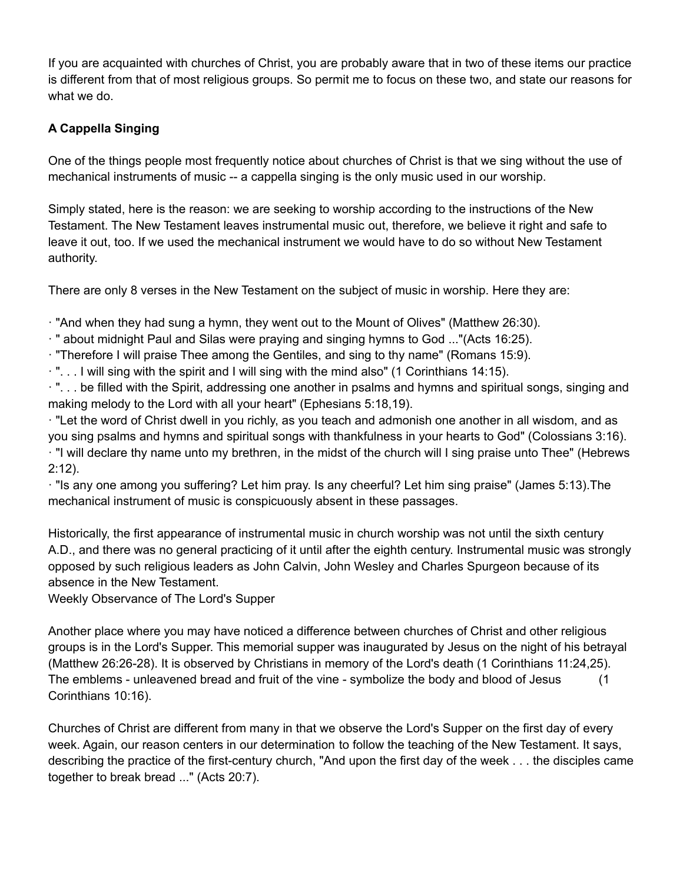If you are acquainted with churches of Christ, you are probably aware that in two of these items our practice is different from that of most religious groups. So permit me to focus on these two, and state our reasons for what we do.

# **A Cappella Singing**

One of the things people most frequently notice about churches of Christ is that we sing without the use of mechanical instruments of music -- a cappella singing is the only music used in our worship.

Simply stated, here is the reason: we are seeking to worship according to the instructions of the New Testament. The New Testament leaves instrumental music out, therefore, we believe it right and safe to leave it out, too. If we used the mechanical instrument we would have to do so without New Testament authority.

There are only 8 verses in the New Testament on the subject of music in worship. Here they are:

· "And when they had sung a hymn, they went out to the Mount of Olives" (Matthew 26:30).

· " about midnight Paul and Silas were praying and singing hymns to God ..."(Acts 16:25).

· "Therefore I will praise Thee among the Gentiles, and sing to thy name" (Romans 15:9).

· ". . . I will sing with the spirit and I will sing with the mind also" (1 Corinthians 14:15).

· ". . . be filled with the Spirit, addressing one another in psalms and hymns and spiritual songs, singing and making melody to the Lord with all your heart" (Ephesians 5:18,19).

· "Let the word of Christ dwell in you richly, as you teach and admonish one another in all wisdom, and as you sing psalms and hymns and spiritual songs with thankfulness in your hearts to God" (Colossians 3:16).

· "I will declare thy name unto my brethren, in the midst of the church will I sing praise unto Thee" (Hebrews 2:12).

· "Is any one among you suffering? Let him pray. Is any cheerful? Let him sing praise" (James 5:13).The mechanical instrument of music is conspicuously absent in these passages.

Historically, the first appearance of instrumental music in church worship was not until the sixth century A.D., and there was no general practicing of it until after the eighth century. Instrumental music was strongly opposed by such religious leaders as John Calvin, John Wesley and Charles Spurgeon because of its absence in the New Testament.

Weekly Observance of The Lord's Supper

Another place where you may have noticed a difference between churches of Christ and other religious groups is in the Lord's Supper. This memorial supper was inaugurated by Jesus on the night of his betrayal (Matthew 26:26-28). It is observed by Christians in memory of the Lord's death (1 Corinthians 11:24,25). The emblems - unleavened bread and fruit of the vine - symbolize the body and blood of Jesus (1 Corinthians 10:16).

Churches of Christ are different from many in that we observe the Lord's Supper on the first day of every week. Again, our reason centers in our determination to follow the teaching of the New Testament. It says, describing the practice of the first-century church, "And upon the first day of the week . . . the disciples came together to break bread ..." (Acts 20:7).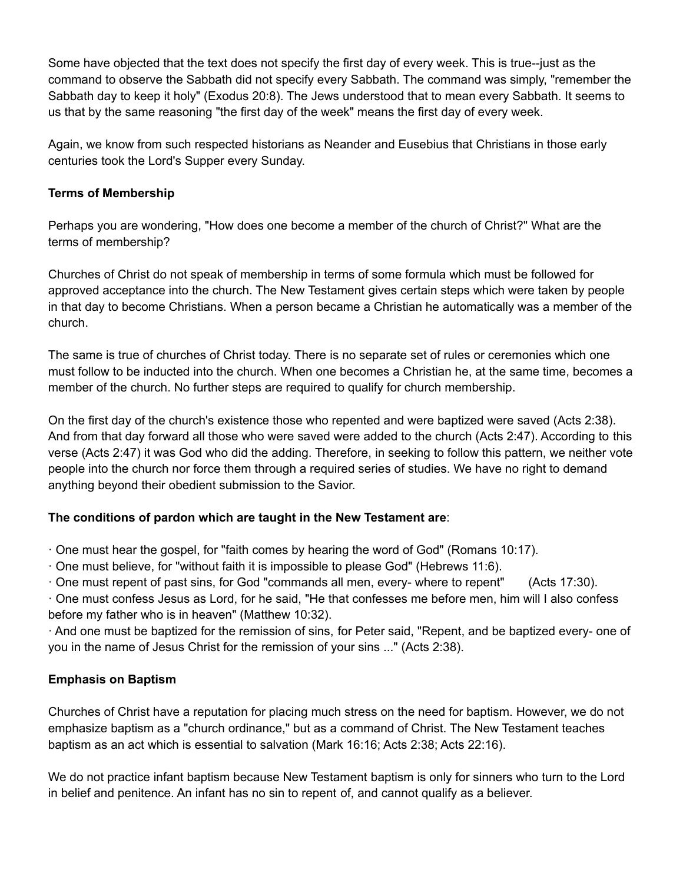Some have objected that the text does not specify the first day of every week. This is true--just as the command to observe the Sabbath did not specify every Sabbath. The command was simply, "remember the Sabbath day to keep it holy" (Exodus 20:8). The Jews understood that to mean every Sabbath. It seems to us that by the same reasoning "the first day of the week" means the first day of every week.

Again, we know from such respected historians as Neander and Eusebius that Christians in those early centuries took the Lord's Supper every Sunday.

# **Terms of Membership**

Perhaps you are wondering, "How does one become a member of the church of Christ?" What are the terms of membership?

Churches of Christ do not speak of membership in terms of some formula which must be followed for approved acceptance into the church. The New Testament gives certain steps which were taken by people in that day to become Christians. When a person became a Christian he automatically was a member of the church.

The same is true of churches of Christ today. There is no separate set of rules or ceremonies which one must follow to be inducted into the church. When one becomes a Christian he, at the same time, becomes a member of the church. No further steps are required to qualify for church membership.

On the first day of the church's existence those who repented and were baptized were saved (Acts 2:38). And from that day forward all those who were saved were added to the church (Acts 2:47). According to this verse (Acts 2:47) it was God who did the adding. Therefore, in seeking to follow this pattern, we neither vote people into the church nor force them through a required series of studies. We have no right to demand anything beyond their obedient submission to the Savior.

## **The conditions of pardon which are taught in the New Testament are**:

- · One must hear the gospel, for "faith comes by hearing the word of God" (Romans 10:17).
- · One must believe, for "without faith it is impossible to please God" (Hebrews 11:6).
- · One must repent of past sins, for God "commands all men, every- where to repent" (Acts 17:30).

· One must confess Jesus as Lord, for he said, "He that confesses me before men, him will I also confess before my father who is in heaven" (Matthew 10:32).

· And one must be baptized for the remission of sins, for Peter said, "Repent, and be baptized every- one of you in the name of Jesus Christ for the remission of your sins ..." (Acts 2:38).

## **Emphasis on Baptism**

Churches of Christ have a reputation for placing much stress on the need for baptism. However, we do not emphasize baptism as a "church ordinance," but as a command of Christ. The New Testament teaches baptism as an act which is essential to salvation (Mark 16:16; Acts 2:38; Acts 22:16).

We do not practice infant baptism because New Testament baptism is only for sinners who turn to the Lord in belief and penitence. An infant has no sin to repent of, and cannot qualify as a believer.